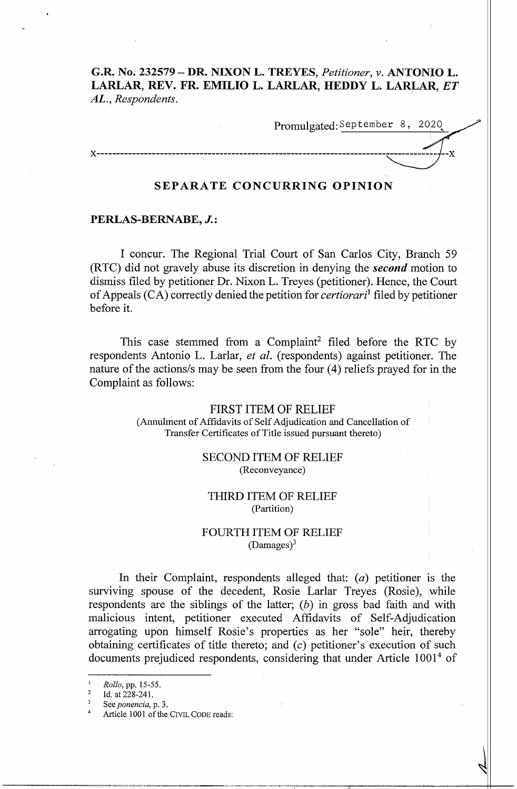**G.R. No. 232579 – DR. NIXON L. TREYES, Petitioner, v. ANTONIO L. LARLAR, REV. FR. EMILIO L. LARLAR, REDDY L. LARLAR,** *ET*  **AL.,** *Respondents.* 

Promulgated:September 8, 2020,

# **SEPARATE CONCURRING OPINION**

### **PERLAS-BERNABE, J.:**

 $X$ ------

I concur. The Regional Trial Court of San Carlos City, Branch 59 (RTC) did not gravely abuse its discretion in denying the *second* motion to dismiss filed by petitioner Dr. Nixon L. Treyes (petitioner). Hence, the Court of Appeals (CA) correctly denied the petition for *certiorari*<sup>1</sup>filed by petitioner before it.

This case stemmed from a Complaint<sup>2</sup> filed before the RTC by respondents Antonio L. Larlar, *et al.* (respondents) against petitioner. The nature of the actions/s may be seen from the four (4) reliefs prayed for in the Complaint as follows:

> FIRST ITEM OF RELIEF (Annulment of Affidavits of Self Adjudication and Cancellation of Transfer Certificates of Title issued pursuant thereto)

> > SECOND ITEM OF RELIEF (Reconveyance)

## THIRD ITEM OF RELIEF (Partition)

## FOURTH ITEM OF RELIEF  $(Damages)^3$

In their Complaint, respondents alleged that:  $(a)$  petitioner is the surviving spouse of the decedent, Rosie Larlar Treyes (Rosie), while respondents are the siblings of the latter;  $(b)$  in gross bad faith and with malicious intent, petitioner executed Affidavits of Self-Adjudication arrogating upon himself Rosie's properties as her "sole" heir, thereby obtaining certificates of title thereto; and  $(c)$  petitioner's execution of such documents prejudiced respondents, considering that under Article 1001<sup>4</sup> of

*Rollo*, pp. 15-55.<br>Id. at 228-241.

See *ponencia*, p. 3.

Article 1001 of the CIVIL CODE reads: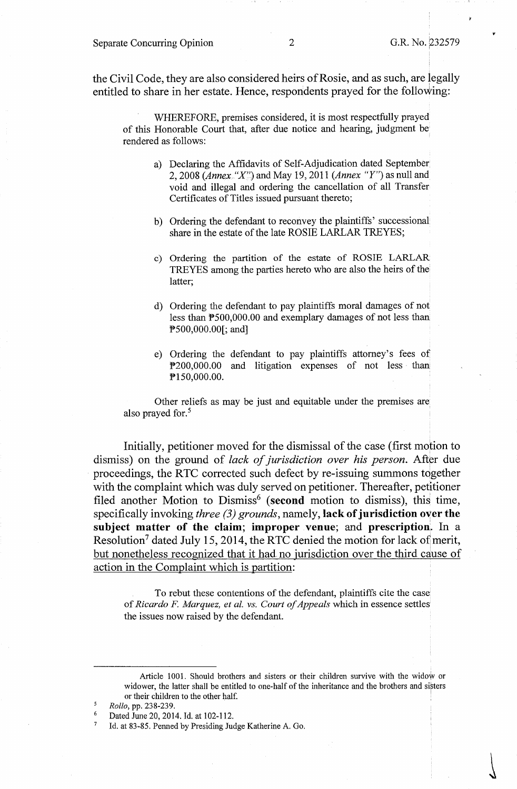the Civil Code, they are also considered heirs of Rosie, and as such, are legally entitled to share in her estate. Hence, respondents prayed for the following:

WHEREFORE, premises considered, it is most respectfully prayed of this Honorable Court that, after due notice and hearing, judgment be rendered as follows:

- a) Declaring the Affidavits of Self-Adjudication dated September 2, 2008 (Annex "X") and May 19, 2011 (Annex "Y") as null and void and illegal and ordering the cancellation of all Transfer Certificates of Titles issued pursuant thereto;
- b) Ordering the defendant to reconvey the plaintiffs' successional share in the estate of the late ROSIE LARLAR TREYES;
- c) Ordering the partition of the estate of ROSIE LARLAR TREYES among the parties hereto who are also the heirs of the latter;
- d) Ordering the defendant to pay plaintiffs moral damages of not less than P500,000.00 and exemplary damages of not less than PS00,000.00[; and]
- e) Ordering the defendant to pay plaintiffs attorney's fees of P200,000.00 and litigation expenses of not less than: P150,000.00.

Other reliefs as may be just and equitable under the premises are also prayed for.<sup>5</sup>

Initially, petitioner moved for the dismissal of the case (first motion to dismiss) on the ground of *lack of jurisdiction over his person*. After due proceedings, the RTC corrected such defect by re-issuing summons together with the complaint which was duly served on petitioner. Thereafter, petitioner filed another Motion to Dismiss<sup>6</sup> (second motion to dismiss), this time, specifically invoking *three (3) grounds,* namely, **lack of jurisdiction over the subject matter of the claim; improper venue; and prescription;.** In a Resolution<sup>7</sup> dated July 15, 2014, the RTC denied the motion for lack of merit, but nonetheless recognized that it had no jurisdiction over the third cause of action in the Complaint which is partition:

To rebut these contentions of the defendant, plaintiffs cite the case of *Ricardo F Marquez, et al. vs. Court of Appeals* which in essence settles the issues now raised by the defendant.

Article 1001. Should brothers and sisters or their children survive with the widow or widower, the latter shall be entitled to one-half of the inheritance and the brothers and sisters or their children to the other half.

*<sup>5</sup> Rollo,* pp. 238-239.

<sup>&</sup>lt;sup>6</sup> Dated June 20, 2014. Id. at 102-112.

<sup>&</sup>lt;sup>7</sup> Id. at 83-85. Penned by Presiding Judge Katherine A. Go.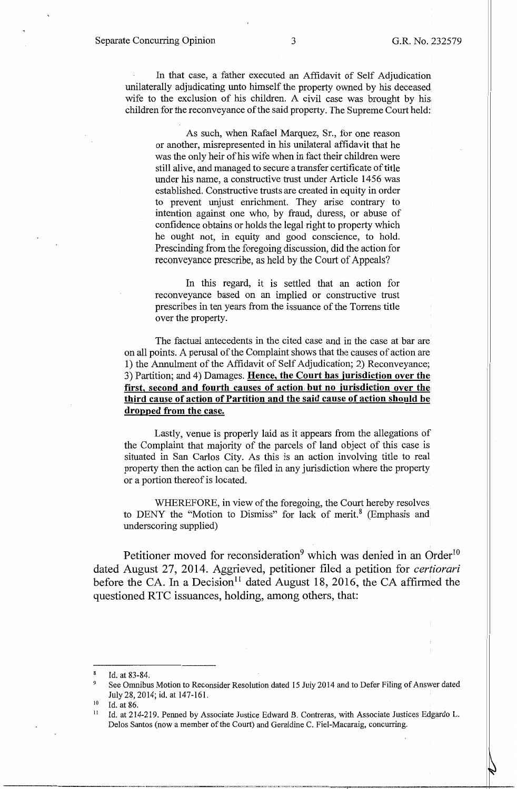In that case, a father executed an Affidavit of Self Adjudication unilaterally adjudicating unto himself the property owned by his deceased wife to the exclusion of his children. A civil case was brought by his, children for the reconveyance of the said property. The Supreme Court held:

As such, when Rafael Marquez, Sr., for one reason or another, misrepresented in his unilateral affidavit that he was the only heir of his wife when in fact their children were still alive, and managed to secure a transfer certificate of title under his name, a constructive trust under Article 1456 was established. Constructive trusts are created in equity in order to prevent unjust enrichment. They arise contrary to intention against one who, by fraud, duress, or abuse of confidence obtains or holds the legal right to property which he ought not, in equity and good conscience, to hold. Prescinding from the foregoing discussion, did the action for reconveyance prescribe, as held by the Court of Appeals?

In this regard, it is settled that an action for reconveyance based on an implied or constructive trust prescribes in ten years from the issuance of the Torrens title over the property.

The factual antecedents in the cited case and in the case at bar are on all points. A perusal of the Complaint shows that the causes of action are 1) the Annulment of the Affidavit of Self Adjudication; 2) Reconveyance; 3) Partition; and 4) Damages. **Hence, the Court has jurisdiction over the first, second and fourth causes of action but no jurisdiction over the, third cause of action of Partition and the said cause of action should be dropped from the case.** 

Lastly, venue is properly laid as it appears from the allegations of the Complaint that majority of the parcels of land object of this case is situated in San Carlos City. As this is an action involving title to real property then the action can be filed in any jurisdiction where the property or a portion thereof is located.

WHEREFORE, in view of the foregoing, the Court hereby resolves to DENY the "Motion to Dismiss" for lack of merit.<sup>8</sup> (Emphasis and underscoring supplied)

Petitioner moved for reconsideration<sup>9</sup> which was denied in an Order<sup>10</sup> dated August 27, 2014. Aggrieved, petitioner filed a petition for *certiorari*  before the CA. In a Decision<sup>11</sup> dated August 18, 2016, the CA affirmed the questioned RTC issuances, holding, among others, that:

Id. at 83-84.

<sup>9</sup>See Omnibus Motion to Reconsider Resolution dated 15 July 2014 and to Defer Filing of Answer dated July 28, 2014; id. at 147-161.

<sup>&</sup>lt;sup>10</sup> Id. at 86.<br><sup>11</sup> Id. at 214-219. Penned by Associate Justice Edward B. Contreras, with Associate Justices Edgardo L. Delos Santos (now a member of the Court) and Geraldine C. Piel-Macaraig, concurring.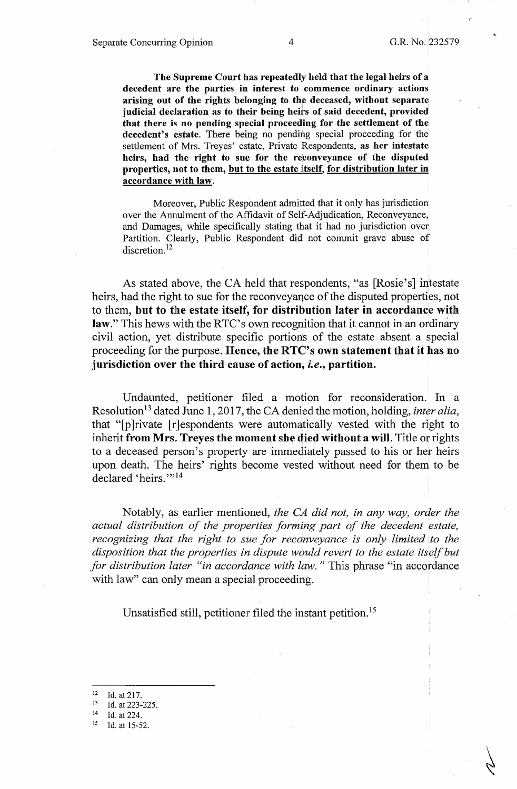**The Supreme Court has repeatedly held that the legal heirs of a decedent are the parties in interest fo commence ordinary actions' arising out of the rights belonging to the deceased, without separate judicial declaration as to their being heits of said decedent, provided that there is no pending special proceeding for the settlement of the**  decedent's estate. There being no pending special proceeding for the settlement of Mrs. Treyes' estate, Private Respondents, **as her intestate heirs, had the right to sue for the reconveyance of the disputed properties, not to them, but to the estate itself, for distribution later in accordance with law.** 

Moreover, Public Respondent admitted that it only has jurisdiction over the Annulment of the Affidavit of Self-Adjudication, Reconveyance, and Damages, while specifically stating that it had no jurisdiction over Partition. Clearly, Public Respondent did not commit grave abuse of discretion.<sup>12</sup>

As stated above, the CA held that respondents, "as [Rosie's] intestate heirs, had the right to sue for the reconveyance of the disputed properties, not to them, but to the estate itself, for distribution later in accordance with law." This hews with the RTC's own recognition that it cannot in an ordinary civil action, yet distribute specific portions of the estate absent a special proceeding for the purpose. **Hence, the RTC's own statement that** it **has no jurisdiction over the third cause of action,** *i.e.,* **partition.** 

Undaunted, petitioner filed a motion for reconsideration. In a Resolution<sup>13</sup> dated June 1, 2017, the CA denied the motion, holding, *inter alia*, that "[p]rivate [r]espondents were automatically vested with the right to inherit **from Mrs. Treyes the moment she died without a will.** Title or rights to a deceased person's property are immediately passed to his or her heirs upon death. The heirs' rights become vested without need for them to be declared 'heirs.""<sup>14</sup>

Notably, as earlier mentioned, *the CA did not, in any way, order the actual distribution of the properties forming part of the decedent estate, recognizing that the right to sue for reconveyance is only limited lo the disposition that the properties in dispute would revert to the estate itself but for distribution later "in accordance with law.* " This phrase "in accordance with law" can only mean a special proceeding.

Unsatisfied still, petitioner filed the instant petition.<sup>15</sup>

<sup>&</sup>lt;sup>12</sup> Id. at 217.<br><sup>13</sup> Id. at 223-225.<br><sup>14</sup> Id. at 224.

<sup>&</sup>lt;sup>14</sup> Id. at 224.<br><sup>15</sup> Id. at 15-52.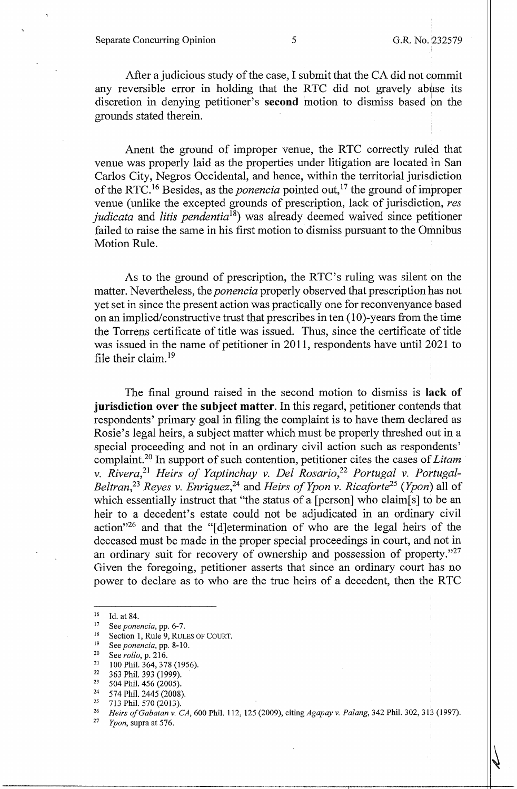After a judicious study of the case, I submit that the CA did not commit any reversible error in holding that the RTC did not gravely abuse its discretion in denying petitioner's **second** motion to dismiss based on the grounds stated therein.

Anent the ground of improper venue, the RTC correctly ruled that venue was properly laid as the properties under litigation are located in San Carlos City, Negros Occidental, and hence, within the territorial jurisdiction of the RTC. 16 Besides, as the *ponencia* pointed out, 17 the ground of improper venue (unlike the excepted grounds of prescription, lack of jurisdiction, *res judicata* and *litis pendentia*18) was already deemed waived since petitioner failed to raise the same in his first motion to dismiss pursuant to the Omnibus Motion Rule.

As to the ground of prescription, the RTC's ruling was silent on the matter. Nevertheless, the *ponencia* properly observed that prescription has not yet set in since the present action was practically one for reconvenyance based on an implied/constructive trust that prescribes in ten (10)-years from the time the Torrens certificate of title was issued. Thus, since the certificate of title was issued in the name of petitioner in 2011, respondents have until 2021 to file their claim. <sup>19</sup>

The final ground raised in the second motion to dismiss is **lack of jurisdiction over the subject matter.** In this regard, petitioner contends that respondents' primary goal in filing the complaint is to have them declared as Rosie's legal heirs, a subject matter which must be properly threshed out in a special proceeding and not in an ordinary civil action such as respondents' complaint. 20 In support of such contention, petitioner cites the cases of *Litam v. Rivera*,<sup>21</sup> Heirs of Yaptinchay v. Del Rosario,<sup>22</sup> Portugal v. Portugal-*Beltran,23 Reyes v. Enriquez,<sup>24</sup>*and *Heirs of Ypon v. Ricaforte25 (Ypon)* all of which essentially instruct that "the status of a [person] who claim[ $s$ ] to be an heir to a decedent's estate could not be adjudicated in an ordinary civil action<sup>"26</sup> and that the "[d]etermination of who are the legal heirs of the deceased must be made in the proper special proceedings in court, and not in an ordinary suit for recovery of ownership and possession of property." $27$ Given the foregoing, petitioner asserts that since an ordinary court has no power to declare as to who are the true heirs of a decedent, then the R TC

<sup>16</sup> Id. at 84.<br>
17 See *ponencia*, pp. 6-7.<br>
18 Section 1, Rule 9, RULES OF COURT.

<sup>&</sup>lt;sup>19</sup> See *ponencia*, pp. 8-10.<br><sup>20</sup> See *rollo*, p. 216.

<sup>&</sup>lt;sup>21</sup> 100 Phil. 364, 378 (1956).<br><sup>22</sup> 363 Phil. 303 (1000)

 $\frac{22}{23}$  363 Phil. 393 (1999).<br>
33 504 Phil. 456 (2005).

<sup>24 574</sup> Phil. 2445 (2008). 25 713 Phil. 570 (2013). 26 *Heirs ofGabatan v. CA,* 600 Phil. 112, 125 (2009), citing *Agapay v. Palang,* 342 Phil. 302, 313 (1997). 27 *Ypon,* supra at 576.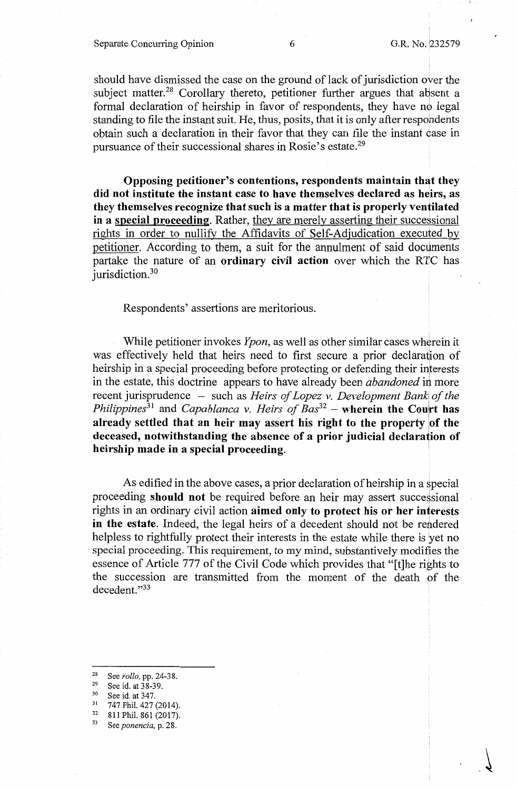should have dismissed the case on the ground of lack of jurisdiction over the subject matter.<sup>28</sup> Corollary thereto, petitioner further argues that absent a formal declaration of heirship in favor of respondents, they have no legal standing to file the instant suit. He, thus, posits, that it is only after respondents obtain such a declaration in their favor that they can file the instant case in pursuance of their successional shares in Rosie's estate.<sup>29</sup>

Opposing petitioner's contentions, respondents maintain that they did not institute the instant case to have themselves declared as heirs, as **they themselves recognize that such is a matter that is properly ventilated in a special proceeding.** Rather, they are merely asserting their successional rights in order to nullify the Affidavits of Self-Adjudication executed by petitioner. According to them, a suit for the annulment of said documents partake the nature of an **ordinary civil action** over which the RTC has jurisdiction.<sup>30</sup>

Respondents' assertions are meritorious.

While petitioner invokes *Ypon,* as well as other similar cases wherein it was effectively held that heirs need to first secure a prior declaration of heirship in a special proceeding before protecting or defending their interests in the estate, this doctrine appears to have already been *abandoned* in more recent jurisprudence - such as *Heirs of Lopez v. Development Bank of the Philippines*<sup>31</sup> and *Capablanca v. Heirs of Bas*<sup>32</sup> – **wherein the Court has** already settled that an heir may assert his right to the property of the **deceased, notwithstanding the absence of a prior judicial declaration of heirship made in a special proceeding.** 

As edified in the above cases, a prior declaration of heirship in a special proceeding **should not** be required before an heir may assert successional rights in an ordinary civil action **aimed only to protect his or her interests**  in the estate. Indeed, the legal heirs of a decedent should not be rendered helpless to rightfully protect their interests in the estate while there is yet no special proceeding. This requirement, to my mind, substantively modifies the essence of Article 777 of the Civil Code which provides that "[t]he rights to the succession are transmitted from the moment of the death of the decedent. "33

- <sup>28</sup> See *rollo*, pp. 24-38.<br><sup>29</sup> See id. at 38-39.<br><sup>30</sup> See id. at 347.<br><sup>31</sup> 747 Phil. 427 (2014).<br><sup>32</sup> 811 Phil. 861 (2017).<br><sup>33</sup> See *ponencia*, p. 28.
- 
-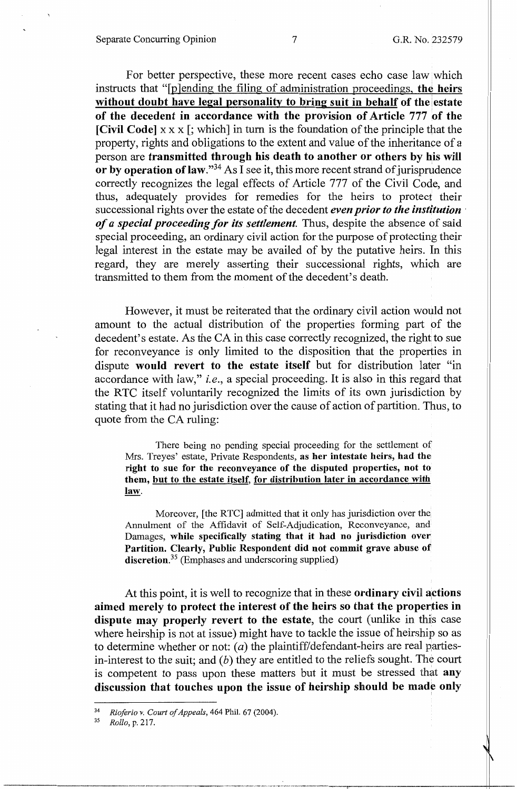For better perspective, these more recent cases echo case law which instructs that "[plending the filing of administration proceedings, the heirs without doubt have legal personality to bring suit in behalf of the estate **of the decedent in accordance with the provision of Article 777 of the [Civil Code]**  $x \times x$  [; which] in turn is the foundation of the principle that the property, rights and obligations to the extent and value of the inheritance of a person are **transmitted through his death to another or others by his wiH**  or by operation of law."<sup>34</sup> As I see it, this more recent strand of jurisprudence correctly recognizes the legal effects of Article 777 of the Civil Code, and thus, adequately provides for remedies for the heirs to protect their successional rights over the estate of the decedent *even prior to the institution* · *of a special proceeding for its settlement.* Thus, despite the absence of said special proceeding, an ordinary civil action for the purpose of protecting their legal interest in the estate may be availed of by the putative heirs. In this regard, they are merely asserting their successional rights, which are transmitted to them from the moment of the decedent's death.

However, it must be reiterated that the ordinary civil action would not amount to the actual distribution of the properties forming part of the decedent's estate. As the CA in this case correctly recognized, the right to sue for reconveyance is only limited to the disposition that the properties in dispute **would revert to the estate itself** but for distribution later "in accordance with law," *i.e.,* a special proceeding. It is also in this regard that the RTC itself voluntarily recognized the limits of its own jurisdiction by stating that it had no jurisdiction over the cause of action of partition. Thus, to quote from the CA ruling:

There being no pending special proceeding for the settlement of Mrs. Treyes' estate, Private Respondents, **as her intestate heirs, had the right to sue for the reconveyance of the disputed properties, not to them, but to the estate itself, for distribution later in accordance with law.** 

Moreover, [the RTC] admitted that it only has jurisdiction over the Annulment of the Affidavit of Self-Adjudication, Reconveyance, and Damages, **while specifically stating that it had no jurisdiction over Partition. Clearly, Public Respondent did not commit grave abuse of discretion.<sup>35</sup>**(Emphases and underscoring supplied)

At this point, it is well to recognize that in these **ordinary civil actions aimed merely to protect the interest of the heirs so that the properties in dispute may properly revert to the estate,** the court (unlike in this case where heirship is not at issue) might have to tackle the issue of heirship so as to determine whether or not:  $(a)$  the plaintiff/defendant-heirs are real partiesin-interest to the suit; and  $(b)$  they are entitled to the reliefs sought. The court is competent to pass upon these matters but it must be stressed that **any discussion that touches upon the issue of heirship should be made only** 

<sup>34</sup>*Rioferio v. Court of Appeals,* 464 Phil. 67 (2004). 35 *Rollo,* p. 217.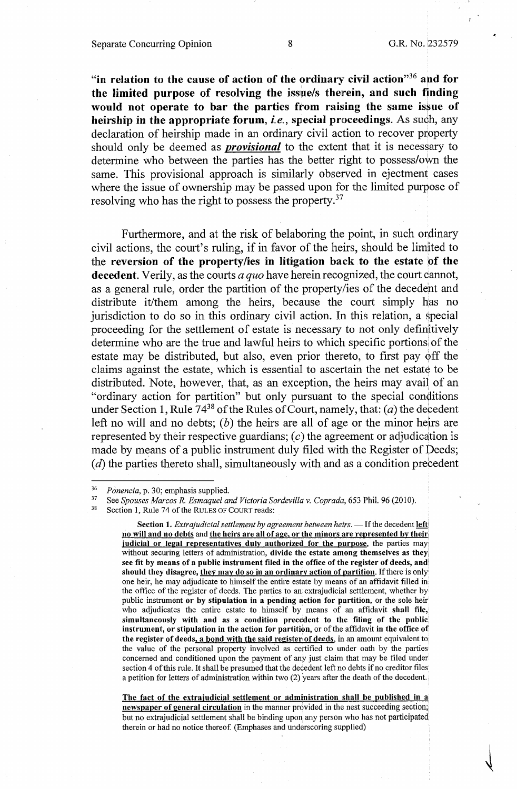**"in relation to the cause of action of the ordinary civil action"36 and for the limited purpose of resolving the issue/s therein, and such finding**  would not operate to bar the parties from raising the same issue of **heirship in the appropriate forum,** *i.e.,* **special proceedings.** As such, any declaration of heirship made in an ordinary civil action to recover property should only be deemed as *provisional* to the extent that it is necessary to determine who between the parties has the better right to possess/own the same. This provisional approach is similarly observed in ejectment cases where the issue of ownership may be passed upon for the limited purpose of resolving who has the right to possess the property.<sup>37</sup>

Furthermore, and at the risk of belaboring the point, in such ordinary civil actions, the court's ruling, if in favor of the heirs, should be limited to the **reversion of the property/ies in litigation back to the estate pf the decedent.** Verily, as the courts *a quo* have herein recognized, the court cannot, as a general rule, order the partition of the property/ies of the decedent and distribute it/them among the heirs, because the court simply has no jurisdiction to do so in this ordinary civil action. In this relation, a special proceeding for the settlement of estate is necessary to not only definitively determine who are the true and lawful heirs to which specific portions of the estate may be distributed, but also, even prior thereto, to first pay off the claims against the estate, which is essential to ascertain the net estate to be distributed. Note, however, that, as an exception, the heirs may avail of an "ordinary action for partition" but only pursuant to the special conditions under Section 1, Rule  $74^{38}$  of the Rules of Court, namely, that: (*a*) the decedent left no will and no debts; (b) the heirs are all of age or the minor heirs are represented by their respective guardians;  $(c)$  the agreement or adjudication is made by means of a public instrument duly filed with the Register of Deeds;  $(d)$  the parties thereto shall, simultaneously with and as a condition precedent

Section 1. *Extrajudicial settlement by agreement between heirs*. - If the decedent left **no will and no debts** and **the heirs are all of age, or the minors are represented by their, judicial or legal representatives duly authorized for the purpose,** the parties may without securing letters of administration, **divide the estate among themselves as they see fit by means of a public instrument filed in the office of the register of deeds, and' should they disagree, they may do so in an ordinary action of partition.** If there is only one heir, he may adjudicate to himself the entire estate by means of an affidavit filled in the office of the register of deeds. The parties to an extrajudicial settlement, whether by public instrument **or by stipulation in a pending action for partition,** or the sole heir who adjudicates the entire estate to himself by means of an affidavit **shall file, simultaneously with and as a condition precedent to the filing of the public; instrument, or stipulation in the action for partition,** or of the affidavit **in the office of**  the register of deeds, a bond with the said register of deeds, in an amount equivalent to the value of the personal property involved as certified to under oath by the parties concerned and conditioned upon the payment of any just claim that may be filed under section 4 of this rule. It shall be presumed that the decedent left no debts if no creditor files a petition for letters of administration within two (2) years after the death of the decedent.

**The fact of the extrajudicial settlement or administration shall be published in a newspaper of general circulation** in the manner provided in the nest succeeding section; but no extrajudicial settlement shall be binding upon any person who has not participated therein or had no notice thereof. (Emphases and underscoring supplied)

<sup>&</sup>lt;sup>36</sup> Ponencia, p. 30; emphasis supplied.<br><sup>37</sup> See *Spouses Marcos R. Esmaquel and Victoria Sordevilla v. Coprada*, 653 Phil. 96 (2010).<br><sup>38</sup> Section 1, Rule 74 of the RULES OF COURT reads: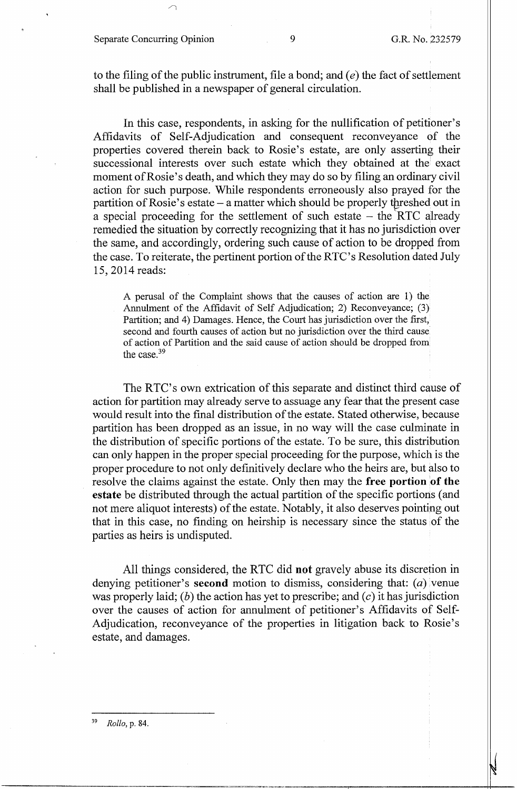#### Separate Concurring Opinion 9 G.R. No. 232579

to the filing of the public instrument, file a bond; and  $(e)$  the fact of settlement shall be published in a newspaper of general circulation.

In this case, respondents, in asking for the nullification of petitioner's Affidavits of Self-Adjudication and consequent reconveyance 0f the properties covered therein back to Rosie's estate, are only asserting their successional interests over such estate which they obtained at the exact moment of Rosie's death, and which they may do so by filing an ordinary civil action for such purpose. While respondents erroneously also prayed for the partition of Rosie's estate  $-$  a matter which should be properly threshed out in a special proceeding for the settlement of such estate  $-$  the  $\overline{RTC}$  already remedied the situation by correctly recognizing that it has no jurisdiction over the same, and accordingly, ordering such cause of action to be dropped from the case. To reiterate, the pertinent portion of the RTC's Resolution dated July 15, 2014 reads:

A perusal of the Complaint shows that the causes of action are 1) the Annulment of the Affidavit of Self Adjudication; 2) Reconveyance; (3) Partition; and 4) Damages. Hence, the Court has jurisdiction over the first, second and fourth causes of action but no jurisdiction over the third cause of action of Partition and the said cause of action should be dropped from the case.<sup>39</sup>

The RTC's own extrication of this separate and distinct third cause of action for partition may already serve to assuage any fear that the present case would result into the final distribution of the estate. Stated otherwise, because partition has been dropped as an issue, in no way will the case culminate in the distribution of specific portions of the estate. To be sure, this distribution can only happen in the proper special proceeding for the purpose, which is the proper procedure to not only definitively declare who the heirs are, but also to resolve the claims against the estate. Only then may the **free portion of the estate** be distributed through the actual partition of the specific portions (and not mere aliquot interests) of the estate. Notably, it also deserves pointing out that in this case, no finding on heirship is necessary since the status of the parties as heirs is undisputed.

All things considered, the RTC did **not** gravely abuse its discretion in denying petitioner's **second** motion to dismiss, considering that: (a) venue was properly laid; (b) the action has yet to prescribe; and (c) it has jurisdiction over the causes of action for annulment of petitioner's Affidavits of Self-Adjudication, reconveyance of the properties in litigation back to Rosie's estate, and damages.

<sup>39</sup>*Rollo,* p. 84.